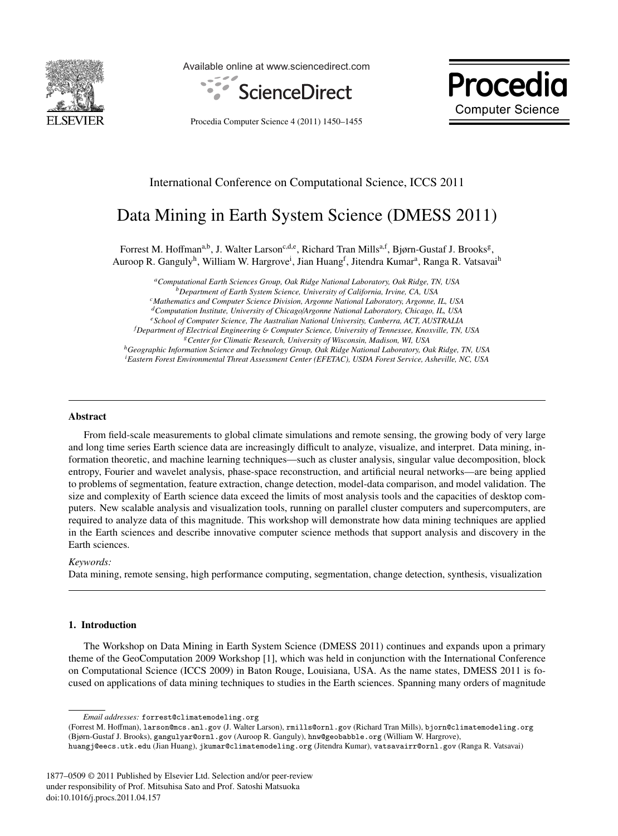

Available online at www.sciencedirect.com



Procedia **Computer Science** 

Procedia Computer Science 4 (2011) 1450–1455

## International Conference on Computational Science, ICCS 2011

# Data Mining in Earth System Science (DMESS 2011)

Forrest M. Hoffman<sup>a,b</sup>, J. Walter Larson<sup>c,d,e</sup>, Richard Tran Mills<sup>a,f</sup>, Bjørn-Gustaf J. Brooks<sup>g</sup>, Auroop R. Ganguly<sup>h</sup>, William W. Hargrove<sup>i</sup>, Jian Huang<sup>f</sup>, Jitendra Kumar<sup>a</sup>, Ranga R. Vatsavai<sup>h</sup>

> *aComputational Earth Sciences Group, Oak Ridge National Laboratory, Oak Ridge, TN, USA bDepartment of Earth System Science, University of California, Irvine, CA, USA*

*cMathematics and Computer Science Division, Argonne National Laboratory, Argonne, IL, USA*

*dComputation Institute, University of Chicago*/*Argonne National Laboratory, Chicago, IL, USA*

*eSchool of Computer Science, The Australian National University, Canberra, ACT, AUSTRALIA*

*f Department of Electrical Engineering* & *Computer Science, University of Tennessee, Knoxville, TN, USA gCenter for Climatic Research, University of Wisconsin, Madison, WI, USA*

*hGeographic Information Science and Technology Group, Oak Ridge National Laboratory, Oak Ridge, TN, USA i Eastern Forest Environmental Threat Assessment Center (EFETAC), USDA Forest Service, Asheville, NC, USA*

#### Abstract

From field-scale measurements to global climate simulations and remote sensing, the growing body of very large and long time series Earth science data are increasingly difficult to analyze, visualize, and interpret. Data mining, information theoretic, and machine learning techniques—such as cluster analysis, singular value decomposition, block entropy, Fourier and wavelet analysis, phase-space reconstruction, and artificial neural networks—are being applied to problems of segmentation, feature extraction, change detection, model-data comparison, and model validation. The size and complexity of Earth science data exceed the limits of most analysis tools and the capacities of desktop computers. New scalable analysis and visualization tools, running on parallel cluster computers and supercomputers, are required to analyze data of this magnitude. This workshop will demonstrate how data mining techniques are applied in the Earth sciences and describe innovative computer science methods that support analysis and discovery in the Earth sciences.

#### *Keywords:*

Data mining, remote sensing, high performance computing, segmentation, change detection, synthesis, visualization

### 1. Introduction

The Workshop on Data Mining in Earth System Science (DMESS 2011) continues and expands upon a primary theme of the GeoComputation 2009 Workshop [1], which was held in conjunction with the International Conference on Computational Science (ICCS 2009) in Baton Rouge, Louisiana, USA. As the name states, DMESS 2011 is focused on applications of data mining techniques to studies in the Earth sciences. Spanning many orders of magnitude

(Forrest M. Hoffman), larson@mcs.anl.gov (J. Walter Larson), rmills@ornl.gov (Richard Tran Mills), bjorn@climatemodeling.org (Bjørn-Gustaf J. Brooks), gangulyar@ornl.gov (Auroop R. Ganguly), hnw@geobabble.org (William W. Hargrove),

*Email addresses:* forrest@climatemodeling.org

huangj@eecs.utk.edu (Jian Huang), jkumar@climatemodeling.org (Jitendra Kumar), vatsavairr@ornl.gov (Ranga R. Vatsavai)

<sup>1877–0509 © 2011</sup> Published by Elsevier Ltd. Selection and/or peer-review under responsibility of Prof. Mitsuhisa Sato and Prof. Satoshi Matsuoka doi:10.1016/j.procs.2011.04.157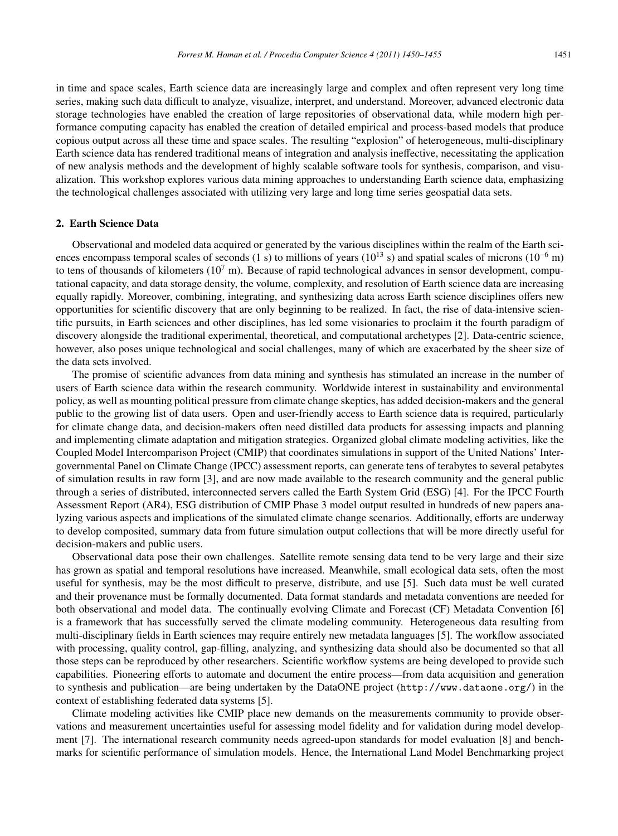in time and space scales, Earth science data are increasingly large and complex and often represent very long time series, making such data difficult to analyze, visualize, interpret, and understand. Moreover, advanced electronic data storage technologies have enabled the creation of large repositories of observational data, while modern high performance computing capacity has enabled the creation of detailed empirical and process-based models that produce copious output across all these time and space scales. The resulting "explosion" of heterogeneous, multi-disciplinary Earth science data has rendered traditional means of integration and analysis ineffective, necessitating the application of new analysis methods and the development of highly scalable software tools for synthesis, comparison, and visualization. This workshop explores various data mining approaches to understanding Earth science data, emphasizing the technological challenges associated with utilizing very large and long time series geospatial data sets.

#### 2. Earth Science Data

Observational and modeled data acquired or generated by the various disciplines within the realm of the Earth sciences encompass temporal scales of seconds (1 s) to millions of years (10<sup>13</sup> s) and spatial scales of microns (10<sup>−6</sup> m) to tens of thousands of kilometers  $(10^7 \text{ m})$ . Because of rapid technological advances in sensor development, computational capacity, and data storage density, the volume, complexity, and resolution of Earth science data are increasing equally rapidly. Moreover, combining, integrating, and synthesizing data across Earth science disciplines offers new opportunities for scientific discovery that are only beginning to be realized. In fact, the rise of data-intensive scientific pursuits, in Earth sciences and other disciplines, has led some visionaries to proclaim it the fourth paradigm of discovery alongside the traditional experimental, theoretical, and computational archetypes [2]. Data-centric science, however, also poses unique technological and social challenges, many of which are exacerbated by the sheer size of the data sets involved.

The promise of scientific advances from data mining and synthesis has stimulated an increase in the number of users of Earth science data within the research community. Worldwide interest in sustainability and environmental policy, as well as mounting political pressure from climate change skeptics, has added decision-makers and the general public to the growing list of data users. Open and user-friendly access to Earth science data is required, particularly for climate change data, and decision-makers often need distilled data products for assessing impacts and planning and implementing climate adaptation and mitigation strategies. Organized global climate modeling activities, like the Coupled Model Intercomparison Project (CMIP) that coordinates simulations in support of the United Nations' Intergovernmental Panel on Climate Change (IPCC) assessment reports, can generate tens of terabytes to several petabytes of simulation results in raw form [3], and are now made available to the research community and the general public through a series of distributed, interconnected servers called the Earth System Grid (ESG) [4]. For the IPCC Fourth Assessment Report (AR4), ESG distribution of CMIP Phase 3 model output resulted in hundreds of new papers analyzing various aspects and implications of the simulated climate change scenarios. Additionally, efforts are underway to develop composited, summary data from future simulation output collections that will be more directly useful for decision-makers and public users.

Observational data pose their own challenges. Satellite remote sensing data tend to be very large and their size has grown as spatial and temporal resolutions have increased. Meanwhile, small ecological data sets, often the most useful for synthesis, may be the most difficult to preserve, distribute, and use [5]. Such data must be well curated and their provenance must be formally documented. Data format standards and metadata conventions are needed for both observational and model data. The continually evolving Climate and Forecast (CF) Metadata Convention [6] is a framework that has successfully served the climate modeling community. Heterogeneous data resulting from multi-disciplinary fields in Earth sciences may require entirely new metadata languages [5]. The workflow associated with processing, quality control, gap-filling, analyzing, and synthesizing data should also be documented so that all those steps can be reproduced by other researchers. Scientific workflow systems are being developed to provide such capabilities. Pioneering efforts to automate and document the entire process—from data acquisition and generation to synthesis and publication—are being undertaken by the DataONE project (http://www.dataone.org/) in the context of establishing federated data systems [5].

Climate modeling activities like CMIP place new demands on the measurements community to provide observations and measurement uncertainties useful for assessing model fidelity and for validation during model development [7]. The international research community needs agreed-upon standards for model evaluation [8] and benchmarks for scientific performance of simulation models. Hence, the International Land Model Benchmarking project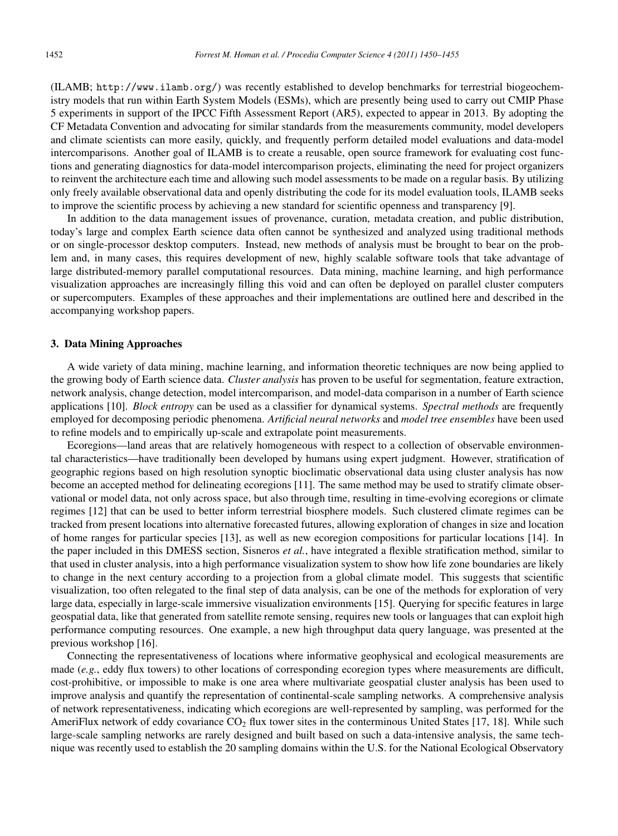(ILAMB; http://www.ilamb.org/) was recently established to develop benchmarks for terrestrial biogeochemistry models that run within Earth System Models (ESMs), which are presently being used to carry out CMIP Phase 5 experiments in support of the IPCC Fifth Assessment Report (AR5), expected to appear in 2013. By adopting the CF Metadata Convention and advocating for similar standards from the measurements community, model developers and climate scientists can more easily, quickly, and frequently perform detailed model evaluations and data-model intercomparisons. Another goal of ILAMB is to create a reusable, open source framework for evaluating cost functions and generating diagnostics for data-model intercomparison projects, eliminating the need for project organizers to reinvent the architecture each time and allowing such model assessments to be made on a regular basis. By utilizing only freely available observational data and openly distributing the code for its model evaluation tools, ILAMB seeks to improve the scientific process by achieving a new standard for scientific openness and transparency [9].

In addition to the data management issues of provenance, curation, metadata creation, and public distribution, today's large and complex Earth science data often cannot be synthesized and analyzed using traditional methods or on single-processor desktop computers. Instead, new methods of analysis must be brought to bear on the problem and, in many cases, this requires development of new, highly scalable software tools that take advantage of large distributed-memory parallel computational resources. Data mining, machine learning, and high performance visualization approaches are increasingly filling this void and can often be deployed on parallel cluster computers or supercomputers. Examples of these approaches and their implementations are outlined here and described in the accompanying workshop papers.

#### 3. Data Mining Approaches

A wide variety of data mining, machine learning, and information theoretic techniques are now being applied to the growing body of Earth science data. *Cluster analysis* has proven to be useful for segmentation, feature extraction, network analysis, change detection, model intercomparison, and model-data comparison in a number of Earth science applications [10]. *Block entropy* can be used as a classifier for dynamical systems. *Spectral methods* are frequently employed for decomposing periodic phenomena. *Artificial neural networks* and *model tree ensembles* have been used to refine models and to empirically up-scale and extrapolate point measurements.

Ecoregions—land areas that are relatively homogeneous with respect to a collection of observable environmental characteristics—have traditionally been developed by humans using expert judgment. However, stratification of geographic regions based on high resolution synoptic bioclimatic observational data using cluster analysis has now become an accepted method for delineating ecoregions [11]. The same method may be used to stratify climate observational or model data, not only across space, but also through time, resulting in time-evolving ecoregions or climate regimes [12] that can be used to better inform terrestrial biosphere models. Such clustered climate regimes can be tracked from present locations into alternative forecasted futures, allowing exploration of changes in size and location of home ranges for particular species [13], as well as new ecoregion compositions for particular locations [14]. In the paper included in this DMESS section, Sisneros *et al.*, have integrated a flexible stratification method, similar to that used in cluster analysis, into a high performance visualization system to show how life zone boundaries are likely to change in the next century according to a projection from a global climate model. This suggests that scientific visualization, too often relegated to the final step of data analysis, can be one of the methods for exploration of very large data, especially in large-scale immersive visualization environments [15]. Querying for specific features in large geospatial data, like that generated from satellite remote sensing, requires new tools or languages that can exploit high performance computing resources. One example, a new high throughput data query language, was presented at the previous workshop [16].

Connecting the representativeness of locations where informative geophysical and ecological measurements are made (*e.g.*, eddy flux towers) to other locations of corresponding ecoregion types where measurements are difficult, cost-prohibitive, or impossible to make is one area where multivariate geospatial cluster analysis has been used to improve analysis and quantify the representation of continental-scale sampling networks. A comprehensive analysis of network representativeness, indicating which ecoregions are well-represented by sampling, was performed for the AmeriFlux network of eddy covariance  $CO<sub>2</sub>$  flux tower sites in the conterminous United States [17, 18]. While such large-scale sampling networks are rarely designed and built based on such a data-intensive analysis, the same technique was recently used to establish the 20 sampling domains within the U.S. for the National Ecological Observatory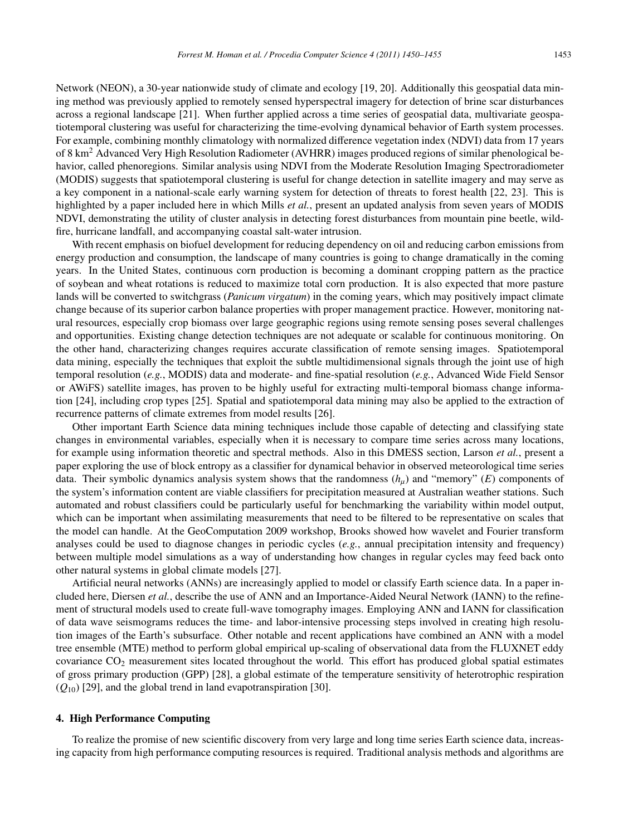Network (NEON), a 30-year nationwide study of climate and ecology [19, 20]. Additionally this geospatial data mining method was previously applied to remotely sensed hyperspectral imagery for detection of brine scar disturbances across a regional landscape [21]. When further applied across a time series of geospatial data, multivariate geospatiotemporal clustering was useful for characterizing the time-evolving dynamical behavior of Earth system processes. For example, combining monthly climatology with normalized difference vegetation index (NDVI) data from 17 years of 8 km2 Advanced Very High Resolution Radiometer (AVHRR) images produced regions of similar phenological behavior, called phenoregions. Similar analysis using NDVI from the Moderate Resolution Imaging Spectroradiometer (MODIS) suggests that spatiotemporal clustering is useful for change detection in satellite imagery and may serve as a key component in a national-scale early warning system for detection of threats to forest health [22, 23]. This is highlighted by a paper included here in which Mills *et al.*, present an updated analysis from seven years of MODIS NDVI, demonstrating the utility of cluster analysis in detecting forest disturbances from mountain pine beetle, wildfire, hurricane landfall, and accompanying coastal salt-water intrusion.

With recent emphasis on biofuel development for reducing dependency on oil and reducing carbon emissions from energy production and consumption, the landscape of many countries is going to change dramatically in the coming years. In the United States, continuous corn production is becoming a dominant cropping pattern as the practice of soybean and wheat rotations is reduced to maximize total corn production. It is also expected that more pasture lands will be converted to switchgrass (*Panicum virgatum*) in the coming years, which may positively impact climate change because of its superior carbon balance properties with proper management practice. However, monitoring natural resources, especially crop biomass over large geographic regions using remote sensing poses several challenges and opportunities. Existing change detection techniques are not adequate or scalable for continuous monitoring. On the other hand, characterizing changes requires accurate classification of remote sensing images. Spatiotemporal data mining, especially the techniques that exploit the subtle multidimensional signals through the joint use of high temporal resolution (*e.g.*, MODIS) data and moderate- and fine-spatial resolution (*e.g.*, Advanced Wide Field Sensor or AWiFS) satellite images, has proven to be highly useful for extracting multi-temporal biomass change information [24], including crop types [25]. Spatial and spatiotemporal data mining may also be applied to the extraction of recurrence patterns of climate extremes from model results [26].

Other important Earth Science data mining techniques include those capable of detecting and classifying state changes in environmental variables, especially when it is necessary to compare time series across many locations, for example using information theoretic and spectral methods. Also in this DMESS section, Larson *et al.*, present a paper exploring the use of block entropy as a classifier for dynamical behavior in observed meteorological time series data. Their symbolic dynamics analysis system shows that the randomness  $(h_\mu)$  and "memory" (*E*) components of the system's information content are viable classifiers for precipitation measured at Australian weather stations. Such automated and robust classifiers could be particularly useful for benchmarking the variability within model output, which can be important when assimilating measurements that need to be filtered to be representative on scales that the model can handle. At the GeoComputation 2009 workshop, Brooks showed how wavelet and Fourier transform analyses could be used to diagnose changes in periodic cycles (*e.g.*, annual precipitation intensity and frequency) between multiple model simulations as a way of understanding how changes in regular cycles may feed back onto other natural systems in global climate models [27].

Artificial neural networks (ANNs) are increasingly applied to model or classify Earth science data. In a paper included here, Diersen *et al.*, describe the use of ANN and an Importance-Aided Neural Network (IANN) to the refinement of structural models used to create full-wave tomography images. Employing ANN and IANN for classification of data wave seismograms reduces the time- and labor-intensive processing steps involved in creating high resolution images of the Earth's subsurface. Other notable and recent applications have combined an ANN with a model tree ensemble (MTE) method to perform global empirical up-scaling of observational data from the FLUXNET eddy covariance  $CO<sub>2</sub>$  measurement sites located throughout the world. This effort has produced global spatial estimates of gross primary production (GPP) [28], a global estimate of the temperature sensitivity of heterotrophic respiration  $(Q_{10})$  [29], and the global trend in land evapotranspiration [30].

#### 4. High Performance Computing

To realize the promise of new scientific discovery from very large and long time series Earth science data, increasing capacity from high performance computing resources is required. Traditional analysis methods and algorithms are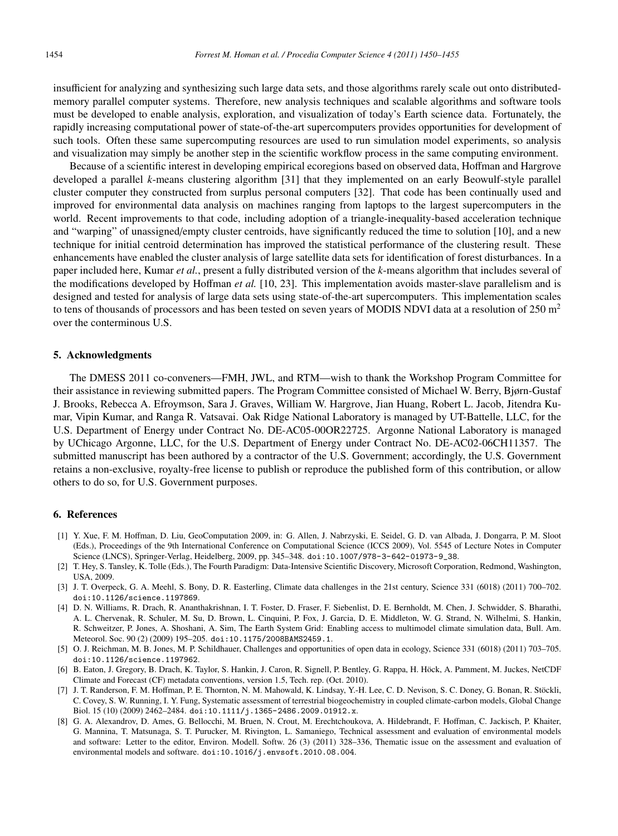insufficient for analyzing and synthesizing such large data sets, and those algorithms rarely scale out onto distributedmemory parallel computer systems. Therefore, new analysis techniques and scalable algorithms and software tools must be developed to enable analysis, exploration, and visualization of today's Earth science data. Fortunately, the rapidly increasing computational power of state-of-the-art supercomputers provides opportunities for development of such tools. Often these same supercomputing resources are used to run simulation model experiments, so analysis and visualization may simply be another step in the scientific workflow process in the same computing environment.

Because of a scientific interest in developing empirical ecoregions based on observed data, Hoffman and Hargrove developed a parallel *k*-means clustering algorithm [31] that they implemented on an early Beowulf-style parallel cluster computer they constructed from surplus personal computers [32]. That code has been continually used and improved for environmental data analysis on machines ranging from laptops to the largest supercomputers in the world. Recent improvements to that code, including adoption of a triangle-inequality-based acceleration technique and "warping" of unassigned/empty cluster centroids, have significantly reduced the time to solution [10], and a new technique for initial centroid determination has improved the statistical performance of the clustering result. These enhancements have enabled the cluster analysis of large satellite data sets for identification of forest disturbances. In a paper included here, Kumar *et al.*, present a fully distributed version of the *k*-means algorithm that includes several of the modifications developed by Hoffman *et al.* [10, 23]. This implementation avoids master-slave parallelism and is designed and tested for analysis of large data sets using state-of-the-art supercomputers. This implementation scales to tens of thousands of processors and has been tested on seven years of MODIS NDVI data at a resolution of  $250 \text{ m}^2$ over the conterminous U.S.

#### 5. Acknowledgments

The DMESS 2011 co-conveners—FMH, JWL, and RTM—wish to thank the Workshop Program Committee for their assistance in reviewing submitted papers. The Program Committee consisted of Michael W. Berry, Bjørn-Gustaf J. Brooks, Rebecca A. Efroymson, Sara J. Graves, William W. Hargrove, Jian Huang, Robert L. Jacob, Jitendra Kumar, Vipin Kumar, and Ranga R. Vatsavai. Oak Ridge National Laboratory is managed by UT-Battelle, LLC, for the U.S. Department of Energy under Contract No. DE-AC05-00OR22725. Argonne National Laboratory is managed by UChicago Argonne, LLC, for the U.S. Department of Energy under Contract No. DE-AC02-06CH11357. The submitted manuscript has been authored by a contractor of the U.S. Government; accordingly, the U.S. Government retains a non-exclusive, royalty-free license to publish or reproduce the published form of this contribution, or allow others to do so, for U.S. Government purposes.

#### 6. References

- [1] Y. Xue, F. M. Hoffman, D. Liu, GeoComputation 2009, in: G. Allen, J. Nabrzyski, E. Seidel, G. D. van Albada, J. Dongarra, P. M. Sloot (Eds.), Proceedings of the 9th International Conference on Computational Science (ICCS 2009), Vol. 5545 of Lecture Notes in Computer Science (LNCS), Springer-Verlag, Heidelberg, 2009, pp. 345–348. doi:10.1007/978-3-642-01973-9\_38.
- [2] T. Hey, S. Tansley, K. Tolle (Eds.), The Fourth Paradigm: Data-Intensive Scientific Discovery, Microsoft Corporation, Redmond, Washington, USA, 2009.
- [3] J. T. Overpeck, G. A. Meehl, S. Bony, D. R. Easterling, Climate data challenges in the 21st century, Science 331 (6018) (2011) 700–702. doi:10.1126/science.1197869.
- [4] D. N. Williams, R. Drach, R. Ananthakrishnan, I. T. Foster, D. Fraser, F. Siebenlist, D. E. Bernholdt, M. Chen, J. Schwidder, S. Bharathi, A. L. Chervenak, R. Schuler, M. Su, D. Brown, L. Cinquini, P. Fox, J. Garcia, D. E. Middleton, W. G. Strand, N. Wilhelmi, S. Hankin, R. Schweitzer, P. Jones, A. Shoshani, A. Sim, The Earth System Grid: Enabling access to multimodel climate simulation data, Bull. Am. Meteorol. Soc. 90 (2) (2009) 195–205. doi:10.1175/2008BAMS2459.1.
- [5] O. J. Reichman, M. B. Jones, M. P. Schildhauer, Challenges and opportunities of open data in ecology, Science 331 (6018) (2011) 703–705. doi:10.1126/science.1197962.
- [6] B. Eaton, J. Gregory, B. Drach, K. Taylor, S. Hankin, J. Caron, R. Signell, P. Bentley, G. Rappa, H. Hock, A. Pamment, M. Juckes, NetCDF ¨ Climate and Forecast (CF) metadata conventions, version 1.5, Tech. rep. (Oct. 2010).
- [7] J. T. Randerson, F. M. Hoffman, P. E. Thornton, N. M. Mahowald, K. Lindsay, Y.-H. Lee, C. D. Nevison, S. C. Doney, G. Bonan, R. Stockli, ¨ C. Covey, S. W. Running, I. Y. Fung, Systematic assessment of terrestrial biogeochemistry in coupled climate-carbon models, Global Change Biol. 15 (10) (2009) 2462–2484. doi:10.1111/j.1365-2486.2009.01912.x.
- [8] G. A. Alexandrov, D. Ames, G. Bellocchi, M. Bruen, N. Crout, M. Erechtchoukova, A. Hildebrandt, F. Hoffman, C. Jackisch, P. Khaiter, G. Mannina, T. Matsunaga, S. T. Purucker, M. Rivington, L. Samaniego, Technical assessment and evaluation of environmental models and software: Letter to the editor, Environ. Modell. Softw. 26 (3) (2011) 328–336, Thematic issue on the assessment and evaluation of environmental models and software. doi:10.1016/j.envsoft.2010.08.004.